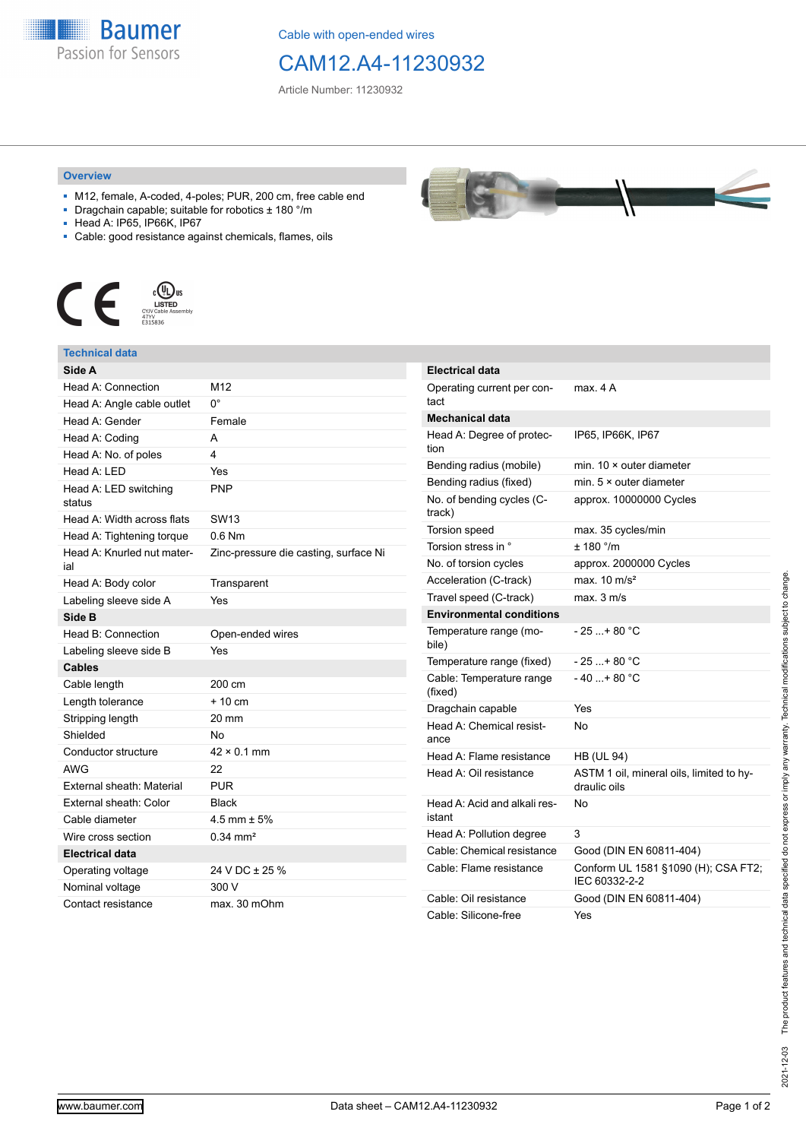

Cable with open-ended wires

## CAM12.A4-11230932

Article Number: 11230932

## **Overview**

- M12, female, A-coded, 4-poles; PUR, 200 cm, free cable end
- Dragchain capable; suitable for robotics ± 180 °/m
- Head A: IP65, IP66K, IP67
- Cable: good resistance against chemicals, flames, oils



## **Technical data**

| Side A                            |                                       |
|-----------------------------------|---------------------------------------|
| Head A: Connection                | M12                                   |
| Head A: Angle cable outlet        | U.                                    |
| Head A: Gender                    | Female                                |
| Head A: Coding                    | А                                     |
| Head A: No. of poles              | 4                                     |
| Head A: LED                       | Yes                                   |
| Head A: LED switching<br>status   | <b>PNP</b>                            |
| Head A: Width across flats        | <b>SW13</b>                           |
| Head A: Tightening torque         | $0.6$ Nm                              |
| Head A: Knurled nut mater-<br>ial | Zinc-pressure die casting, surface Ni |
| Head A: Body color                | Transparent                           |
| Labeling sleeve side A            | Yes                                   |
| Side B                            |                                       |
| Head B: Connection                | Open-ended wires                      |
| Labeling sleeve side B            | Yes                                   |
| <b>Cables</b>                     |                                       |
| Cable length                      | 200 cm                                |
| Length tolerance                  | $+10cm$                               |
| Stripping length                  | 20 mm                                 |
| Shielded                          | No                                    |
| Conductor structure               | $42 \times 0.1$ mm                    |
| <b>AWG</b>                        | 22                                    |
| External sheath: Material         | <b>PUR</b>                            |
| External sheath: Color            | <b>Black</b>                          |
| Cable diameter                    | 4.5 mm $\pm$ 5%                       |
| Wire cross section                | $0.34 \, \text{mm}^2$                 |
| <b>Electrical data</b>            |                                       |
| Operating voltage                 | 24 V DC ± 25 %                        |
| Nominal voltage                   | 300 V                                 |
| Contact resistance                | max. 30 mOhm                          |



| <b>Electrical data</b>                 |                                                          |
|----------------------------------------|----------------------------------------------------------|
| Operating current per con-<br>tact     | max. 4 A                                                 |
| <b>Mechanical data</b>                 |                                                          |
| Head A: Degree of protec-<br>tion      | IP65, IP66K, IP67                                        |
| Bending radius (mobile)                | min. $10 \times$ outer diameter                          |
| Bending radius (fixed)                 | min. $5 \times$ outer diameter                           |
| No. of bending cycles (C-<br>track)    | approx. 10000000 Cycles                                  |
| <b>Torsion speed</b>                   | max. 35 cycles/min                                       |
| Torsion stress in °                    | ± 180 °/m                                                |
| No. of torsion cycles                  | approx. 2000000 Cycles                                   |
| Acceleration (C-track)                 | max. $10 \text{ m/s}^2$                                  |
| Travel speed (C-track)                 | max. 3 m/s                                               |
| <b>Environmental conditions</b>        |                                                          |
| Temperature range (mo-<br>bile)        | - 25 + 80 °C                                             |
| Temperature range (fixed)              | $-25+80 °C$                                              |
| Cable: Temperature range<br>(fixed)    | $-40$ + 80 °C                                            |
| Dragchain capable                      | Yes                                                      |
| Head A: Chemical resist-<br>ance       | No                                                       |
| Head A: Flame resistance               | <b>HB (UL 94)</b>                                        |
| Head A: Oil resistance                 | ASTM 1 oil, mineral oils, limited to hy-<br>draulic oils |
| Head A: Acid and alkali res-<br>istant | No                                                       |
| Head A: Pollution degree               | 3                                                        |
| Cable: Chemical resistance             | Good (DIN EN 60811-404)                                  |
| Cable: Flame resistance                | Conform UL 1581 §1090 (H); CSA FT2;<br>IEC 60332-2-2     |
| Cable: Oil resistance                  | Good (DIN EN 60811-404)                                  |
| Cable: Silicone-free                   | Yes                                                      |